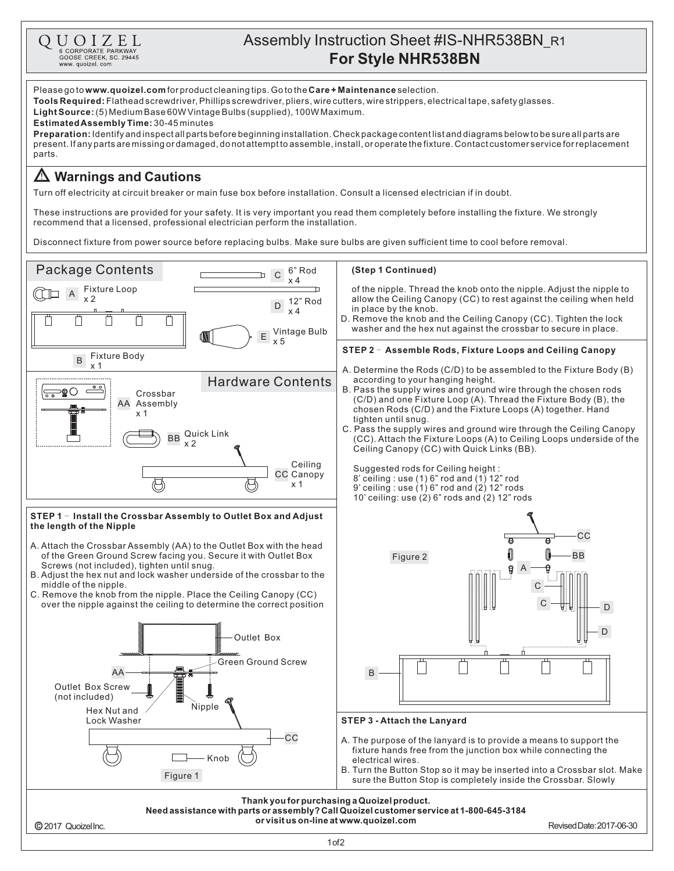